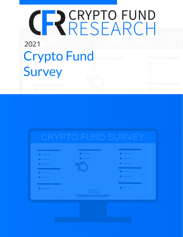# <span id="page-0-0"></span>CRYPTO FUND 2021 [Crypto Fund](https://cryptofundresearch.com/2020-crypto-fund-survey/)  **Survey**

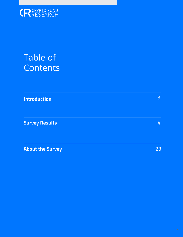

## Table of **Contents**

**[Introduction](#page-2-0)**

**[Survey Results](#page-3-0)**

**[About the Survey](#page-22-0)**

23

4

3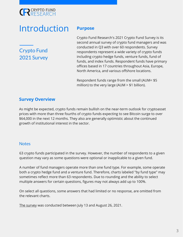### <span id="page-2-0"></span>**CRESEARCH**

### **Introduction** Purpose

Crypto Fund 2021 Survey

Crypto Fund Research's 2021 Crypto Fund Survey is its second annual survey of crypto fund managers and was conducted in Q3 with over 60 respondents. Survey respondents represent a wide variety of crypto funds including crypto hedge funds, venture funds, fund of funds, and index funds. Respondent funds have primary offices based in 17 countries throughout Asia, Europe, North America, and various offshore locations.

Respondent funds range from the small (AUM< \$5 million) to the very large (AUM > \$1 billion).

#### **Survey Overview**

As might be expected, crypto funds remain bullish on the near-term outlook for cryptoasset prices with more than three fourths of crypto funds expecting to see Bitcoin surge to over \$64,000 in the next 12 months. They also are generally optimistic about the continued growth of institutional interest in the sector.

#### **Notes**

63 crypto funds participated in the survey. However, the number of respondents to a given question may vary as some questions were optional or inapplicable to a given fund.

A number of fund managers operate more than one fund type. For example, some operate both a crypto hedge fund and a venture fund. Therefore, charts labeled "by fund type" may sometimes reflect more than 63 respondents. Due to rounding and the ability to select multiple answers for certain questions, figures may not always add up to 100%.

On select all questions, some answers that had limited or no response, are omitted from the relevant charts.

[The survey](https://cryptofundresearch.com/2020-crypto-fund-survey/) was conducted between July 13 and August 26, 2021.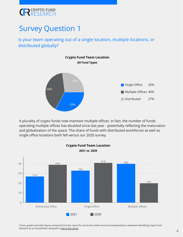<span id="page-3-0"></span>

Is your team operating out of a single location, multiple locations, or distributed globally?



A plurality of crypto funds now maintain multiple offices. In fact, the number of funds operating multiple offices has doubled since last year - potentially reflecting the maturation and globalization of the space. The share of funds with distributed workforces as well as single office locations both fell versus our 2020 survey.

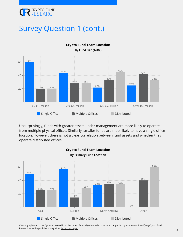

#### Survey Question 1 (cont.)



Unsurprisingly, funds with greater assets under management are more likely to operate from multiple physical offices. Similarly, smaller funds are most likely to have a single office location. However, there is not a clear correlation between fund assets and whether they operate distributed offices.

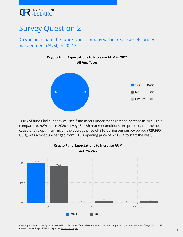

#### Do you anticipate the fund/fund company will increase assets under management (AUM) in 2021?



100% of funds believe they will see fund assets under management increase in 2021. This compares to 92% in our 2020 survey. Bullish market conditions are probably not the root cause of this optimism, given the average price of BTC during our survey period (\$29,990 USD), was almost unchanged from BTC's opening price of \$28,994 to start the year.



**Crypto Fund Expectations to Increase AUM**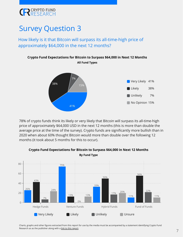### **CRESEARCH**

### Survey Question 3

How likely is it that Bitcoin will surpass its all-time-high price of approximately \$64,000 in the next 12 months?



78% of crypto funds think its likely or very likely that Bitcoin will surpass its all-time-high price of approximately \$64,000 USD in the next 12 months (this is more than double the average price at the time of the survey). Crypto funds are significantly more bullish than in 2020 when about 60% thought Bitcoin would more than double over the following 12 months (it took about 5 months for this to occur).



#### **Crypto Fund Expectations for Bitcoin to Surpass \$64,000 in Next 12 Months By Fund Type**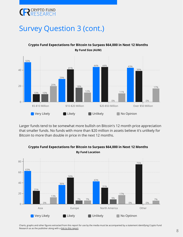

#### Survey Question 3 (cont.)



**Crypto Fund Expectations for Bitcoin to Surpass \$64,000 in Next 12 Months By Fund Size (AUM)**

Larger funds tend to be somewhat more bullish on Bitcoin's 12 month price appreciation that smaller funds. No funds with more than \$20 million in assets believe it's unlikely for Bitcoin to more than double in price in the next 12 months.



**Crypto Fund Expectations for Bitcoin to Surpass \$64,000 in Next 12 Months By Fund Location**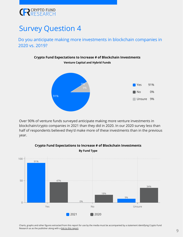

Do you anticipate making more investments in blockchain companies in 2020 vs. 2019?

**Crypto Fund Expectations to Increase # of Blockchain Investments**



Over 90% of venture funds surveyed anticipate making more venture investments in blockchain/crypto companies in 2021 than they did in 2020. In our 2020 survey less than half of respondents believed they'd make more of these investments than in the previous year.



#### **Crypto Fund Expectations to Increase # of Blockchain Investments By Fund Type**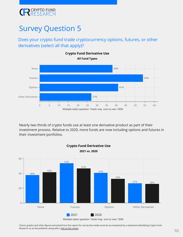

#### Does your crypto fund trade cryptocurrency options, futures, or other derivatives (select all that apply)?



Nearly two thirds of crypto funds use at least one derivative product as part of their investment process. Relative to 2020, more funds are now including options and futures in their investment portfolios.

**Crypto Fund Derivative Use**



Multiple select question. Totals may sum to over 100%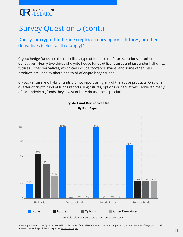### **CRESEARCH**

### Survey Question 5 (cont.)

#### Does your crypto fund trade cryptocurrency options, futures, or other derivatives (select all that apply)?

Crypto hedge funds are the most likely type of fund to use futures, options, or other derivatives. Nearly two thirds of crypto hedge funds utilize futures and just under half utilize futures. Other derivatives, which can include forwards, swaps, and some other DeFi products are used by about one third of crypto hedge funds.

Crypto venture and hybrid funds did not report using any of the above products. Only one quarter of crypto fund of funds report using futures, options or derivatives. However, many of the underlying funds they invest in likely do use these products.



**Crypto Fund Derivative Use By Fund Type**

Multiple select question. Totals may sum to over 100%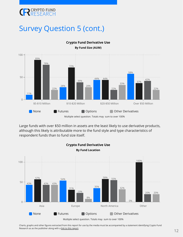

### Survey Question 5 (cont.)



**Crypto Fund Derivative Use By Fund Size (AUM)**

Multiple select question. Totals may sum to over 100%

Large funds with over \$50 million in assets are the least likely to use derivative products, although this likely is attributable more to the fund style and type characteristics of respondent funds than to fund size itself.

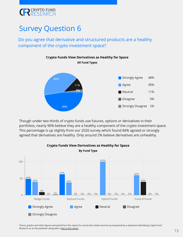

#### Do you agree that derivative and structured products are a healthy component of the crypto investment space?



Though under two thirds of crypto funds use futures, options or derivatives in their portfolios, nearly 90% believe they are a healthy component of the crypto investment space. This percentage is up slightly from our 2020 survey which found 84% agreed or strongly agreed that derivatives are healthy. Only around 2% believe derivatives are unhealthy.

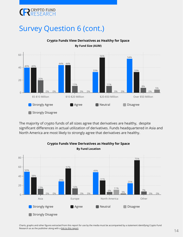

### Survey Question 6 (cont.)



**Crypto Funds View Derivatives as Healthy for Space By Fund Size (AUM)**

The majority of crypto funds of all sizes agree that derivatives are healthy, despite significant differences in actual utilization of derivatives. Funds headquartered in Asia and North America are most likely to strongly agree that derivatives are healthy.

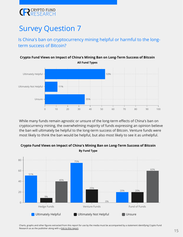

Is China's ban on cryptocurrency mining helpful or harmful to the longterm success of Bitcoin?



While many funds remain agnostic or unsure of the long-term effects of China's ban on cryptocurrency mining, the overwhelming majority of funds expressing an opinion believe the ban will ultimately be helpful to the long-term success of Bitcoin. Venture funds were most likely to think the ban would be helpful, but also most likely to see it as unhelpful.



**Crypto Fund Views on Impact of China's Mining Ban on Long-Term Success of Bitcoin By Fund Type**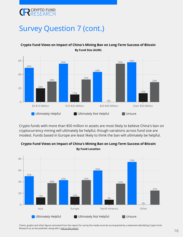

#### Survey Question 7 (cont.)



**Crypto Fund Views on Impact of China's Mining Ban on Long-Term Success of Bitcoin By Fund Size (AUM)**

Crypto funds with more than \$50 million in assets are most likely to believe China's ban on cryptocurrency mining will ultimately be helpful, though variations across fund size are modest. Funds based in Europe are least likely to think the ban will ultimately be helpful.



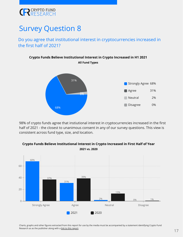### **CRESEARCH**

### Survey Question 8

Do you agree that institutional interest in cryptocurrencies increased in the first half of 2021?



98% of crypto funds agree that instiutional interest in cryptocurrencies increased in the first half of 2021 - the closest to unanimous consent in any of our survey questions. This view is consistent across fund type, size, and location.



**Crypto Funds Believe Institutional Interest in Crypto Increased in First Half of Year 2021 vs. 2020**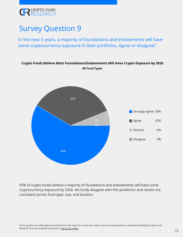

In the next 5 years, a majority of foundations and endowments will have some cryptocurrency exposure in their portfolios. Agree or disagree?



93% of crypto funds believe a majority of foundations and endowments will have some cryptocurrency exposure by 2026. No funds disagree with this prediction and results are consistent across fund type. size, and location.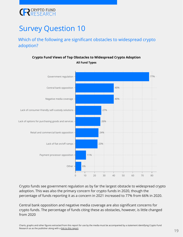

#### Which of the following are significant obstacles to widespread crypto adoption?



**Crypto Fund Views of Top Obstacles to Widespread Crypto Adoption All Fund Types**

Crypto funds see government regulation as by far the largest obstacle to widespread crypto adoption. This was also the primary concern for crypto funds in 2020, though the percentage of funds reporting it as a concern in 2021 increased to 77% from 66% in 2020.

Central bank opposition and negative media coverage are also significant concerns for crypto funds. The percentage of funds citing these as obstacles, however, is little changed from 2020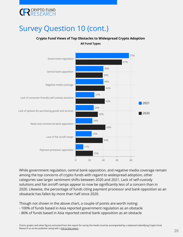

#### Survey Question 10 (cont.)

#### **Crypto Fund Views of Top Obstacles to Widespread Crypto Adoption**

**All Fund Types**



While government regulation, central bank opposition, and negative media coverage remain among the top concerns of crypto funds with regard to widespread adoption, other categories saw larger sentiment shifts between 2020 and 2021. Lack of self-custody solutions and fiat on/off ramps appear to now be significantly less of a concern than in 2020. Likewise, the percentage of funds citing payment processor and bank oppostion as an obsatacle has fallen by more than half since 2020.

Though not shown in the above chart, a couple of points are worth noting:

- 100% of funds based in Asia reported government regulation as an obstacle
- 86% of funds based in Asia reported central bank opposition as an obstacle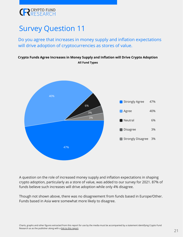

Do you agree that increases in money supply and inflation expectations will drive adoption of cryptocurrencies as stores of value.

#### **Crypto Funds Agree Increases in Money Supply and Inflation will Drive Crypto Adoption All Fund Types**



A question on the role of increased money supply and inflation expectations in shaping crypto adoption, particularly as a store of value, was added to our survey for 2021. 87% of funds believe such increases will drive adoption while only 4% disagree.

Though not shown above, there was no disagreement from funds based in Europe/Other. Funds based in Asia were somewhat more likely to disagree.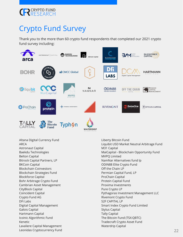

### Crypto Fund Survey

Thank you to the more than 60 crypto fund respondents that completed our 2021 crypto fund survey including:



Altana Digital Currency Fund ARCA Astronaut Capital Baekdu Technologies Belton Capital Bitrock Capital Partners, LP BKCoin Capital Blockchain Coinvestors Blockchain Strategies Fund Blockforce Capital Bohr Arbitrage Crypto Fund Cambrian Asset Management CityBlock Capital Coincident Capital Crypto Fund AG DFi Labs Digital Capital Management Galois Capital Hartmann Capital Icoinic Algorithmic Fund Kenetic Lavaliere Capital Management Leonidas Cryptocurrency Fund Liberty Bitcoin Fund Liquibit USD Market Neutral Arbitrage Fund M31 Capital MaiCapital - Blockchain Opportunity Fund MVPQ Limited NamNar Alternatives fund lp ODIN88 Elite Crypto Fund Off the Chain LP Permian Capital Fund, LP ProChain Capital Protein Capital Fund Proxima Investments Pure Crypto LP Pythagoras Investment Management LLC Rivemont Crypto Fund S2F CAPITAL LP Smart Index Crypto Fund Limited Stylus Capital Tally Capital The Bitcoin Fund (TSX:QBTC) Tradecraft Crypto Asset Fund Waterdrip Capital